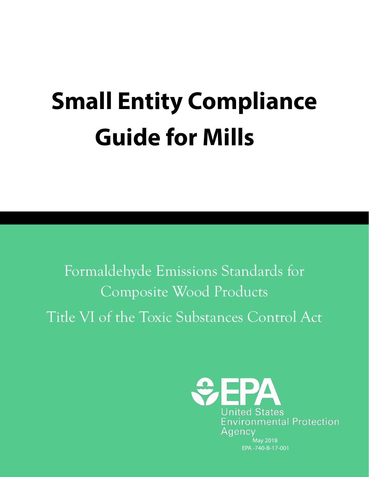# **Small Entity Compliance Guide for Mills**

Formaldehyde Emissions Standards for Composite Wood Products Title VI of the Toxic Substances Control Act

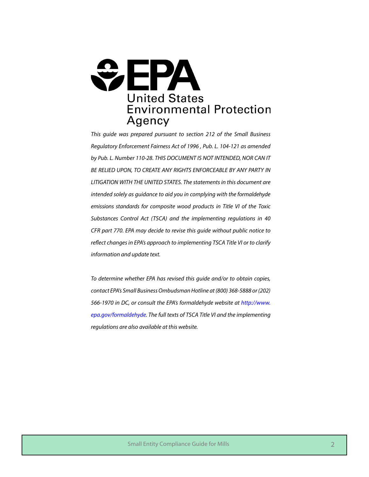

*This guide was prepared pursuant to section 212 of the Small Business Regulatory Enforcement Fairness Act of 1996 , Pub. L. 104-121 as amended by Pub. L. Number 110-28. THIS DOCUMENT IS NOT INTENDED, NOR CAN IT*  **BE RELIED UPON, TO CREATE ANY RIGHTS ENFORCEABLE BY ANY PARTY IN** *LITIGATION WITH THE UNITED STATES. The statements in this document are intended solely as guidance to aid you in complying with the formaldehyde emissions standards for composite wood products in Title VI of the Toxic Substances Control Act (TSCA) and the implementing regulations in 40 CFR part 770. EPA may decide to revise this guide without public notice to reflect changes in EPA's approach to implementing TSCA Title VI or to clarify information and update text.* 

*To determine whether EPA has revised this guide and/or to obtain copies, contact EPA's Small Business Ombudsman Hotline at (800) 368-5888 or (202) 566-1970 in DC, or consult the EPA's formaldehyde website at [http://www.](http://www.epa.gov/formaldehyde) [epa.gov/formaldehyde](http://www.epa.gov/formaldehyde). The full texts of TSCA Title VI and the implementing regulations are also available at this website.*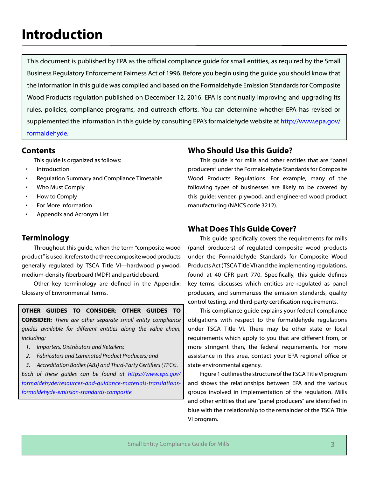# **Introduction**

This document is published by EPA as the official compliance guide for small entities, as required by the Small Business Regulatory Enforcement Fairness Act of 1996. Before you begin using the guide you should know that the information in this guide was compiled and based on the Formaldehyde Emission Standards for Composite Wood Products regulation published on December 12, 2016. EPA is continually improving and upgrading its rules, policies, compliance programs, and outreach efforts. You can determine whether EPA has revised or supplemented the information in this guide by consulting EPA's formaldehyde website at [http://www.epa.gov/](http://www.epa.gov/formaldehyde) [formaldehyde](http://www.epa.gov/formaldehyde).

#### **Contents**

This guide is organized as follows:

- Introduction
- Regulation Summary and Compliance Timetable
- Who Must Comply
- How to Comply
- For More Information
- Appendix and Acronym List

#### **Terminology**

Throughout this guide, when the term "composite wood product" is used, it refers to the three composite wood products generally regulated by TSCA Title VI—hardwood plywood, medium-density fiberboard (MDF) and particleboard.

Other key terminology are defined in the Appendix: Glossary of Environmental Terms.

**OTHER GUIDES TO CONSIDER**: **OTHER GUIDES TO CONSIDER:** *There are other separate small entity compliance guides available for different entities along the value chain, including:*

- *1. Importers, Distributors and Retailers;*
- *2. Fabricators and Laminated Product Producers; and*
- *3. Accreditation Bodies (ABs) and Third-Party Certifiers (TPCs).*

*Each of these guides can be found at [https://www.epa.gov/](https://www.epa.gov/formaldehyde/resources-and-guidance-materials-translations-formaldehyde-emission-standards-composite) [formaldehyde/](https://www.epa.gov/formaldehyde/resources-and-guidance-materials-translations-formaldehyde-emission-standards-composite)resources-and-guidance-materials-translations[formaldehyde-emission-standards-composite.](https://www.epa.gov/formaldehyde/resources-and-guidance-materials-translations-formaldehyde-emission-standards-composite)*

#### **Who Should Use this Guide?**

This guide is for mills and other entities that are "panel producers" under the Formaldehyde Standards for Composite Wood Products Regulations. For example, many of the following types of businesses are likely to be covered by this guide: veneer, plywood, and engineered wood product manufacturing (NAICS code 3212).

#### **What Does This Guide Cover?**

This guide specifically covers the requirements for mills (panel producers) of regulated composite wood products under the Formaldehyde Standards for Composite Wood Products Act (TSCA Title VI) and the implementing regulations, found at 40 CFR part 770. Specifically, this guide defines key terms, discusses which entities are regulated as panel producers, and summarizes the emission standards, quality control testing, and third-party certification requirements.

This compliance guide explains your federal compliance obligations with respect to the formaldehyde regulations under TSCA Title VI. There may be other state or local requirements which apply to you that are different from, or more stringent than, the federal requirements. For more assistance in this area, contact your EPA regional office or state environmental agency.

Figure 1 outlines the structure of the TSCA Title VI program and shows the relationships between EPA and the various groups involved in implementation of the regulation. Mills and other entities that are "panel producers" are identified in blue with their relationship to the remainder of the TSCA Title VI program.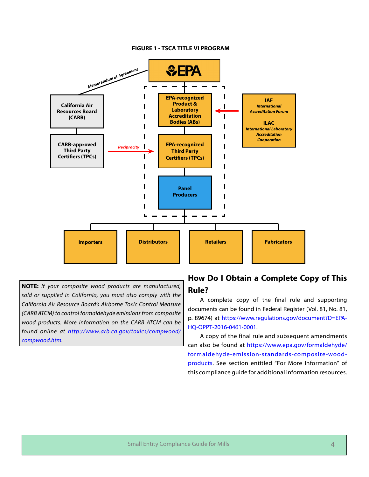#### **FIGURE 1 - TSCA TITLE VI PROGRAM**



**NOTE:** *If your composite wood products are manufactured, sold or supplied in California, you must also comply with the California Air Resource Board's Airborne Toxic Control Measure (CARB ATCM) to control formaldehyde emissions from composite wood products. More information on the CARB ATCM can be found online at [http://www.arb.ca.gov/toxics/compwood/](http://www.arb.ca.gov/toxics/compwood/compwood.htm) [compwood.htm](http://www.arb.ca.gov/toxics/compwood/compwood.htm).*

### **How Do I Obtain a Complete Copy of This Rule?**

A complete copy of the final rule and supporting documents can be found in Federal Register (Vol. 81, No. 81, p. 89674) at [https://www.regulations.gov/document?D=EPA-](https://www.regulations.gov/document?D=EPA-HQ-OPPT-2016-0461-0001)[HQ-OPPT-2016-0461-0001](https://www.regulations.gov/document?D=EPA-HQ-OPPT-2016-0461-0001).

A copy of the final rule and subsequent amendments can also be found at [https://www.epa.gov/formaldehyde/](https://www.epa.gov/formaldehyde/formaldehyde-emission-standards-composite-wood-products) [formaldehyde-emission-standards-composite-wood](https://www.epa.gov/formaldehyde/formaldehyde-emission-standards-composite-wood-products)[products](https://www.epa.gov/formaldehyde/formaldehyde-emission-standards-composite-wood-products). See section entitled "For More Information" of this compliance guide for additional information resources.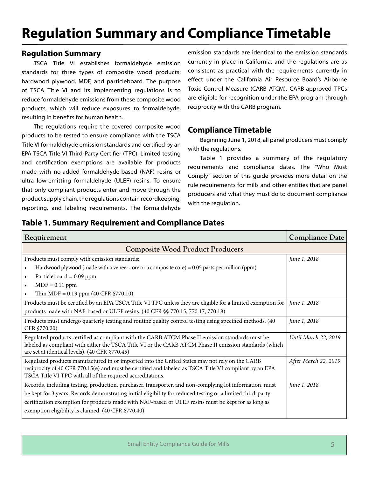# **Regulation Summary and Compliance Timetable**

#### **Regulation Summary**

TSCA Title VI establishes formaldehyde emission standards for three types of composite wood products: hardwood plywood, MDF, and particleboard. The purpose of TSCA Title VI and its implementing regulations is to reduce formaldehyde emissions from these composite wood products, which will reduce exposures to formaldehyde, resulting in benefits for human health.

The regulations require the covered composite wood products to be tested to ensure compliance with the TSCA Title VI formaldehyde emission standards and certified by an EPA TSCA Title VI Third-Party Certifier (TPC). Limited testing and certification exemptions are available for products made with no-added formaldehyde-based (NAF) resins or ultra low-emitting formaldehyde (ULEF) resins. To ensure that only compliant products enter and move through the product supply chain, the regulations contain recordkeeping, reporting, and labeling requirements. The formaldehyde

emission standards are identical to the emission standards currently in place in California, and the regulations are as consistent as practical with the requirements currently in effect under the California Air Resource Board's Airborne Toxic Control Measure (CARB ATCM). CARB-approved TPCs are eligible for recognition under the EPA program through reciprocity with the CARB program.

#### **Compliance Timetable**

Beginning June 1, 2018, all panel producers must comply with the regulations.

Table 1 provides a summary of the regulatory requirements and compliance dates. The "Who Must Comply" section of this guide provides more detail on the rule requirements for mills and other entities that are panel producers and what they must do to document compliance with the regulation.

| Requirement                                                                                                                                                                                                                                                            | Compliance Date      |  |  |
|------------------------------------------------------------------------------------------------------------------------------------------------------------------------------------------------------------------------------------------------------------------------|----------------------|--|--|
| <b>Composite Wood Product Producers</b>                                                                                                                                                                                                                                |                      |  |  |
| Products must comply with emission standards:                                                                                                                                                                                                                          | June 1, 2018         |  |  |
| Hardwood plywood (made with a veneer core or a composite core) = 0.05 parts per million (ppm)<br>$\bullet$                                                                                                                                                             |                      |  |  |
| Particleboard = $0.09$ ppm<br>$\bullet$                                                                                                                                                                                                                                |                      |  |  |
| $MDF = 0.11$ ppm<br>$\bullet$                                                                                                                                                                                                                                          |                      |  |  |
| Thin MDF = $0.13$ ppm (40 CFR $$770.10$ )                                                                                                                                                                                                                              |                      |  |  |
| Products must be certified by an EPA TSCA Title VI TPC unless they are eligible for a limited exemption for                                                                                                                                                            | June 1, 2018         |  |  |
| products made with NAF-based or ULEF resins. (40 CFR §§ 770.15, 770.17, 770.18)                                                                                                                                                                                        |                      |  |  |
| Products must undergo quarterly testing and routine quality control testing using specified methods. (40<br>CFR §770.20)                                                                                                                                               | June 1, 2018         |  |  |
| Regulated products certified as compliant with the CARB ATCM Phase II emission standards must be<br>labeled as compliant with either the TSCA Title VI or the CARB ATCM Phase II emission standards (which<br>are set at identical levels). (40 CFR §770.45)           | Until March 22, 2019 |  |  |
| Regulated products manufactured in or imported into the United States may not rely on the CARB<br>reciprocity of 40 CFR 770.15(e) and must be certified and labeled as TSCA Title VI compliant by an EPA<br>TSCA Title VI TPC with all of the required accreditations. | After March 22, 2019 |  |  |
| Records, including testing, production, purchaser, transporter, and non-complying lot information, must                                                                                                                                                                | June 1, 2018         |  |  |
| be kept for 3 years. Records demonstrating initial eligibility for reduced testing or a limited third-party                                                                                                                                                            |                      |  |  |
| certification exemption for products made with NAF-based or ULEF resins must be kept for as long as<br>exemption eligibility is claimed. (40 CFR §770.40)                                                                                                              |                      |  |  |

### **Table 1. Summary Requirement and Compliance Dates**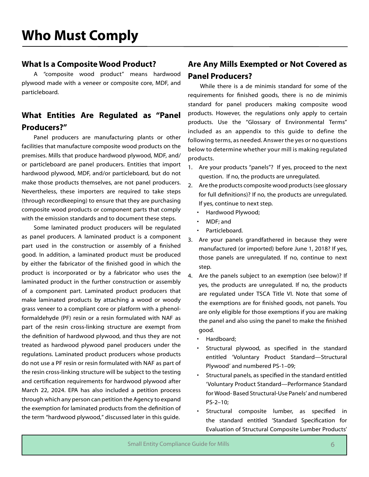#### **What Is a Composite Wood Product?**

A "composite wood product" means hardwood plywood made with a veneer or composite core, MDF, and particleboard.

### **What Entities Are Regulated as "Panel Producers?"**

Panel producers are manufacturing plants or other facilities that manufacture composite wood products on the premises. Mills that produce hardwood plywood, MDF, and/ or particleboard are panel producers. Entities that import hardwood plywood, MDF, and/or particleboard, but do not make those products themselves, are not panel producers. Nevertheless, these importers are required to take steps (through recordkeeping) to ensure that they are purchasing composite wood products or component parts that comply with the emission standards and to document these steps.

Some laminated product producers will be regulated as panel producers. A laminated product is a component part used in the construction or assembly of a finished good. In addition, a laminated product must be produced by either the fabricator of the finished good in which the product is incorporated or by a fabricator who uses the laminated product in the further construction or assembly of a component part. Laminated product producers that make laminated products by attaching a wood or woody grass veneer to a compliant core or platform with a phenolformaldehyde (PF) resin or a resin formulated with NAF as part of the resin cross-linking structure are exempt from the definition of hardwood plywood, and thus they are not treated as hardwood plywood panel producers under the regulations. Laminated product producers whose products do not use a PF resin or resin formulated with NAF as part of the resin cross-linking structure will be subject to the testing and certification requirements for hardwood plywood after March 22, 2024. EPA has also included a petition process through which any person can petition the Agency to expand the exemption for laminated products from the definition of the term "hardwood plywood," discussed later in this guide.

## **Are Any Mills Exempted or Not Covered as Panel Producers?**

While there is a de minimis standard for some of the requirements for finished goods, there is no de minimis standard for panel producers making composite wood products. However, the regulations only apply to certain products. Use the "Glossary of Environmental Terms" included as an appendix to this guide to define the following terms, as needed. Answer the yes or no questions below to determine whether your mill is making regulated products.

- 1. Are your products "panels"? If yes, proceed to the next question. If no, the products are unregulated.
- 2. Are the products composite wood products (see glossary for full definitions)? If no, the products are unregulated. If yes, continue to next step.
	- Hardwood Plywood;
	- MDF; and
	- Particleboard.
- 3. Are your panels grandfathered in because they were manufactured (or imported) before June 1, 2018? If yes, those panels are unregulated. If no, continue to next step.
- 4. Are the panels subject to an exemption (see below)? If yes, the products are unregulated. If no, the products are regulated under TSCA Title VI. Note that some of the exemptions are for finished goods, not panels. You are only eligible for those exemptions if you are making the panel and also using the panel to make the finished good.
	- Hardboard;
	- Structural plywood, as specified in the standard entitled 'Voluntary Product Standard—Structural Plywood' and numbered PS-1–09;
	- Structural panels, as specified in the standard entitled 'Voluntary Product Standard—Performance Standard for Wood- Based Structural-Use Panels' and numbered PS-2–10;
	- Structural composite lumber, as specified in the standard entitled 'Standard Specification for Evaluation of Structural Composite Lumber Products'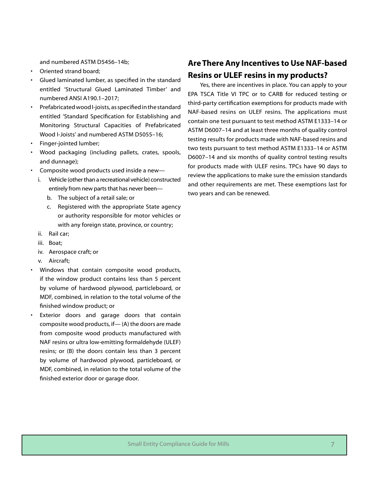and numbered ASTM D5456–14b;

- Oriented strand board;
- Glued laminated lumber, as specified in the standard entitled 'Structural Glued Laminated Timber' and numbered ANSI A190.1–2017;
- Prefabricated wood I-joists, as specified in the standard entitled 'Standard Specification for Establishing and Monitoring Structural Capacities of Prefabricated Wood I-Joists' and numbered ASTM D5055–16;
- Finger-jointed lumber;
- Wood packaging (including pallets, crates, spools, and dunnage);
- Composite wood products used inside a new
	- i. Vehicle (other than a recreational vehicle) constructed entirely from new parts that has never been
		- b. The subject of a retail sale; or
		- c. Registered with the appropriate State agency or authority responsible for motor vehicles or with any foreign state, province, or country;
	- ii. Rail car;
	- iii. Boat;
	- iv. Aerospace craft; or
	- v. Aircraft;
- Windows that contain composite wood products, if the window product contains less than 5 percent by volume of hardwood plywood, particleboard, or MDF, combined, in relation to the total volume of the finished window product; or
- Exterior doors and garage doors that contain composite wood products, if— (A) the doors are made from composite wood products manufactured with NAF resins or ultra low-emitting formaldehyde (ULEF) resins; or (B) the doors contain less than 3 percent by volume of hardwood plywood, particleboard, or MDF, combined, in relation to the total volume of the finished exterior door or garage door.

### **Are There Any Incentives to Use NAF-based Resins or ULEF resins in my products?**

Yes, there are incentives in place. You can apply to your EPA TSCA Title VI TPC or to CARB for reduced testing or third-party certification exemptions for products made with NAF-based resins on ULEF resins. The applications must contain one test pursuant to test method ASTM E1333–14 or ASTM D6007–14 and at least three months of quality control testing results for products made with NAF-based resins and two tests pursuant to test method ASTM E1333–14 or ASTM D6007–14 and six months of quality control testing results for products made with ULEF resins. TPCs have 90 days to review the applications to make sure the emission standards and other requirements are met. These exemptions last for two years and can be renewed.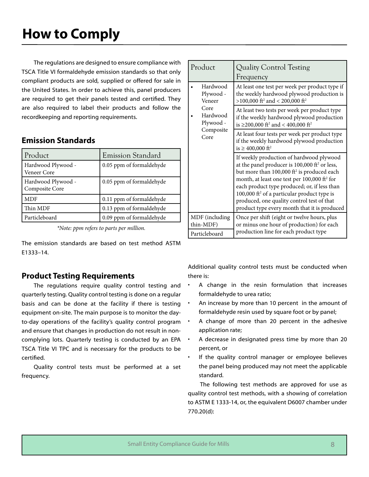# **How to Comply**

The regulations are designed to ensure compliance with TSCA Title VI formaldehyde emission standards so that only compliant products are sold, supplied or offered for sale in the United States. In order to achieve this, panel producers are required to get their panels tested and certified. They are also required to label their products and follow the recordkeeping and reporting requirements.

#### **Emission Standards**

| Product                              | <b>Emission Standard</b> |
|--------------------------------------|--------------------------|
| Hardwood Plywood -<br>Veneer Core    | 0.05 ppm of formaldehyde |
| Hardwood Plywood -<br>Composite Core | 0.05 ppm of formaldehyde |
| <b>MDF</b>                           | 0.11 ppm of formaldehyde |
| Thin MDF                             | 0.13 ppm of formaldehyde |
| Particleboard                        | 0.09 ppm of formaldehyde |

\*Note: ppm refers to parts per million.

The emission standards are based on test method ASTM E1333–14.

#### **Product Testing Requirements**

The regulations require quality control testing and quarterly testing. Quality control testing is done on a regular basis and can be done at the facility if there is testing equipment on-site. The main purpose is to monitor the dayto-day operations of the facility's quality control program and ensure that changes in production do not result in noncomplying lots. Quarterly testing is conducted by an EPA TSCA Title VI TPC and is necessary for the products to be certified.

Quality control tests must be performed at a set frequency.

| Product                                            | <b>Quality Control Testing</b><br>Frequency                                                                                                                                                                                                                                                                                                                                                                                          |
|----------------------------------------------------|--------------------------------------------------------------------------------------------------------------------------------------------------------------------------------------------------------------------------------------------------------------------------------------------------------------------------------------------------------------------------------------------------------------------------------------|
| Hardwood<br>Plywood -<br>Veneer                    | At least one test per week per product type if<br>the weekly hardwood plywood production is<br>>100,000 ft <sup>2</sup> and < 200,000 ft <sup>2</sup>                                                                                                                                                                                                                                                                                |
| Core<br>Hardwood<br>Plywood -<br>Composite<br>Core | At least two tests per week per product type<br>if the weekly hardwood plywood production<br>is ${\geq}200{,}000$ ft <sup>2</sup> and < 400,000 ft <sup>2</sup>                                                                                                                                                                                                                                                                      |
|                                                    | At least four tests per week per product type<br>if the weekly hardwood plywood production<br>is $\geq 400,000$ ft <sup>2</sup>                                                                                                                                                                                                                                                                                                      |
|                                                    | If weekly production of hardwood plywood<br>at the panel producer is 100,000 ft <sup>2</sup> or less,<br>but more than 100,000 ft <sup>2</sup> is produced each<br>month, at least one test per 100,000 ft <sup>2</sup> for<br>each product type produced; or, if less than<br>100,000 ft <sup>2</sup> of a particular product type is<br>produced, one quality control test of that<br>product type every month that it is produced |
| MDF (including<br>thin-MDF)                        | Once per shift (eight or twelve hours, plus<br>or minus one hour of production) for each                                                                                                                                                                                                                                                                                                                                             |
| Particleboard                                      | production line for each product type                                                                                                                                                                                                                                                                                                                                                                                                |

Additional quality control tests must be conducted when there is:

- A change in the resin formulation that increases formaldehyde to urea ratio;
- An increase by more than 10 percent in the amount of formaldehyde resin used by square foot or by panel;
- A change of more than 20 percent in the adhesive application rate;
- A decrease in designated press time by more than 20 percent, or
- If the quality control manager or employee believes the panel being produced may not meet the applicable standard.

The following test methods are approved for use as quality control test methods, with a showing of correlation to ASTM E 1333-14, or, the equivalent D6007 chamber under 770.20(d):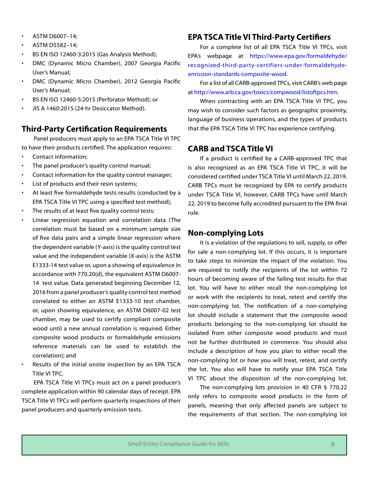- ASTM D6007–14;
- ASTM D5582–14;
- BS EN ISO 12460-3:2015 (Gas Analysis Method);
- DMC (Dynamic Micro Chamber), 2007 Georgia Pacific User's Manual;
- DMC (Dynamic Micro Chamber), 2012 Georgia Pacific User's Manual;
- BS EN ISO 12460-5:2015 (Perforator Method); or
- JIS A 1460:2015 (24-hr Desiccator Method).

#### **Third-Party Certification Requirements**

Panel producers must apply to an EPA TSCA Title VI TPC to have their products certified. The application requires:

- Contact information;
- The panel producer's quality control manual;
- Contact information for the quality control manager;
- List of products and their resin systems;
- At least five formaldehyde tests results (conducted by a EPA TSCA Title VI TPC using a specified test method);
- The results of at least five quality control tests;
- Linear regression equation and correlation data (The correlation must be based on a minimum sample size of five data pairs and a simple linear regression where the dependent variable (Y-axis) is the quality control test value and the independent variable (X-axis) is the ASTM E1333-14 test value or, upon a showing of equivalence in accordance with 770.20(d), the equivalent ASTM D6007- 14 test value. Data generated beginning December 12, 2016 from a panel producer's quality control test method correlated to either an ASTM E1333-10 test chamber, or, upon showing equivalence, an ASTM D6007-02 test chamber, may be used to certify compliant composite wood until a new annual correlation is required. Either composite wood products or formaldehyde emissions reference materials can be used to establish the correlation); and
- Results of the initial onsite inspection by an EPA TSCA Title VI TPC.

EPA TSCA Title VI TPCs must act on a panel producer's complete application within 90 calendar days of receipt. EPA TSCA Title VI TPCs will perform quarterly inspections of their panel producers and quarterly emission tests.

#### **EPA TSCA Title VI Third-Party Certifiers**

For a complete list of all EPA TSCA Title VI TPCs, visit EPA's webpage at [https://www.epa.gov/formaldehyde/](https://www.epa.gov/formaldehyde/recognized-third-party-certifiers-under-formaldehyde-emission-standards-composite-wood) [recognized-third-party-certifiers-under-formaldehyde](https://www.epa.gov/formaldehyde/recognized-third-party-certifiers-under-formaldehyde-emission-standards-composite-wood)[emission-standards-composite-wood](https://www.epa.gov/formaldehyde/recognized-third-party-certifiers-under-formaldehyde-emission-standards-composite-wood).

For a list of all CARB-approved TPCs, visit CARB's web page at <http://www.arb.ca.gov/toxics/compwood/listoftpcs.htm>.

When contracting with an EPA TSCA Title VI TPC, you may wish to consider such factors as geographic proximity, language of business operations, and the types of products that the EPA TSCA Title VI TPC has experience certifying.

#### **CARB and TSCA Title VI**

If a product is certified by a CARB-approved TPC that is also recognized as an EPA TSCA Title VI TPC, it will be considered certified under TSCA Title VI until March 22, 2019. CARB TPCs must be recognized by EPA to certify products under TSCA Title VI, however, CARB TPCs have until March 22, 2019 to become fully accredited pursuant to the EPA final rule.

#### **Non-complying Lots**

It is a violation of the regulations to sell, supply, or offer for sale a non-complying lot. If this occurs, it is important to take steps to minimize the impact of the violation. You are required to notify the recipients of the lot within 72 hours of becoming aware of the failing test results for that lot. You will have to either recall the non-complying lot or work with the recipients to treat, retest and certify the non-complying lot. The notification of a non-complying lot should include a statement that the composite wood products belonging to the non-complying lot should be isolated from other composite wood products and must not be further distributed in commerce. You should also include a description of how you plan to either recall the non-complying lot or how you will treat, retest, and certify the lot. You also will have to notify your EPA TSCA Title VI TPC about the disposition of the non-complying lot.

 The non-complying lots provision in 40 CFR § 770.22 only refers to composite wood products in the form of panels, meaning that only affected panels are subject to the requirements of that section. The non-complying lot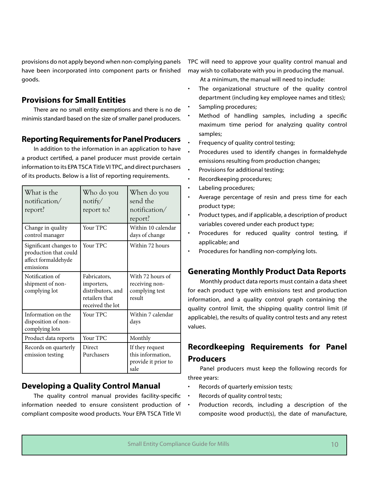provisions do not apply beyond when non-complying panels have been incorporated into component parts or finished goods.

#### **Provisions for Small Entities**

There are no small entity exemptions and there is no de minimis standard based on the size of smaller panel producers.

#### **Reporting Requirements for Panel Producers**

In addition to the information in an application to have a product certified, a panel producer must provide certain information to its EPA TSCA Title VI TPC, and direct purchasers of its products. Below is a list of reporting requirements.

| What is the<br>notification/<br>report?                                             | Who do you<br>$\text{notify}/$<br>report to?                                          | When do you<br>send the<br>notification/<br>report?                 |
|-------------------------------------------------------------------------------------|---------------------------------------------------------------------------------------|---------------------------------------------------------------------|
| Change in quality<br>control manager                                                | Your TPC                                                                              | Within 10 calendar<br>days of change                                |
| Significant changes to<br>production that could<br>affect formaldehyde<br>emissions | Your TPC                                                                              | Within 72 hours                                                     |
| Notification of<br>shipment of non-<br>complying lot                                | Fabricators,<br>importers,<br>distributors, and<br>retailers that<br>received the lot | With 72 hours of<br>receiving non-<br>complying test<br>result      |
| Information on the<br>disposition of non-<br>complying lots                         | Your TPC                                                                              | Within 7 calendar<br>days                                           |
| Product data reports                                                                | Your TPC                                                                              | Monthly                                                             |
| Records on quarterly<br>emission testing                                            | Direct<br>Purchasers                                                                  | If they request<br>this information,<br>provide it prior to<br>sale |

#### **Developing a Quality Control Manual**

The quality control manual provides facility-specific information needed to ensure consistent production of compliant composite wood products. Your EPA TSCA Title VI

TPC will need to approve your quality control manual and may wish to collaborate with you in producing the manual.

At a minimum, the manual will need to include:

- The organizational structure of the quality control department (including key employee names and titles);
- Sampling procedures;
- Method of handling samples, including a specific maximum time period for analyzing quality control samples;
- Frequency of quality control testing;
- Procedures used to identify changes in formaldehyde emissions resulting from production changes;
- Provisions for additional testing;
- Recordkeeping procedures;
- Labeling procedures;
- Average percentage of resin and press time for each product type;
- Product types, and if applicable, a description of product variables covered under each product type;
- Procedures for reduced quality control testing, if applicable; and
- Procedures for handling non-complying lots.

#### **Generating Monthly Product Data Reports**

Monthly product data reports must contain a data sheet for each product type with emissions test and production information, and a quality control graph containing the quality control limit, the shipping quality control limit (if applicable), the results of quality control tests and any retest values.

# **Recordkeeping Requirements for Panel Producers**

Panel producers must keep the following records for three years:

- Records of quarterly emission tests;
- Records of quality control tests;
- Production records, including a description of the composite wood product(s), the date of manufacture,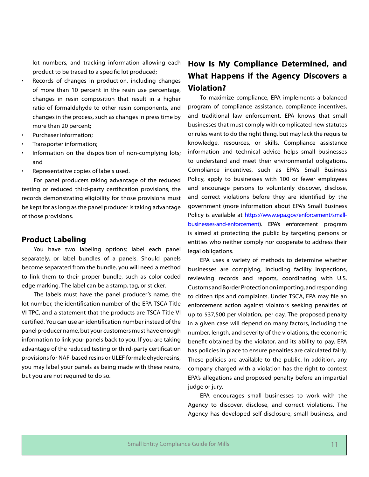lot numbers, and tracking information allowing each product to be traced to a specific lot produced;

- Records of changes in production, including changes of more than 10 percent in the resin use percentage, changes in resin composition that result in a higher ratio of formaldehyde to other resin components, and changes in the process, such as changes in press time by more than 20 percent;
- Purchaser information;
- Transporter information;
- Information on the disposition of non-complying lots; and
- Representative copies of labels used.

For panel producers taking advantage of the reduced testing or reduced third-party certification provisions, the records demonstrating eligibility for those provisions must be kept for as long as the panel producer is taking advantage of those provisions.

#### **Product Labeling**

You have two labeling options: label each panel separately, or label bundles of a panels. Should panels become separated from the bundle, you will need a method to link them to their proper bundle, such as color-coded edge marking. The label can be a stamp, tag, or sticker.

The labels must have the panel producer's name, the lot number, the identification number of the EPA TSCA Title VI TPC, and a statement that the products are TSCA Title VI certified. You can use an identification number instead of the panel producer name, but your customers must have enough information to link your panels back to you. If you are taking advantage of the reduced testing or third-party certification provisions for NAF-based resins or ULEF formaldehyde resins, you may label your panels as being made with these resins, but you are not required to do so.

### **How Is My Compliance Determined, and What Happens if the Agency Discovers a Violation?**

To maximize compliance, EPA implements a balanced program of compliance assistance, compliance incentives, and traditional law enforcement. EPA knows that small businesses that must comply with complicated new statutes or rules want to do the right thing, but may lack the requisite knowledge, resources, or skills. Compliance assistance information and technical advice helps small businesses to understand and meet their environmental obligations. Compliance incentives, such as EPA's Small Business Policy, apply to businesses with 100 or fewer employees and encourage persons to voluntarily discover, disclose, and correct violations before they are identified by the government (more information about EPA's Small Business Policy is available at [https://www.epa.gov/enforcement/small](http://www.arb.ca.gov/toxics/compwood/listoftpcs.htm)[businesses-and-enforcement](http://www.arb.ca.gov/toxics/compwood/listoftpcs.htm)). EPA's enforcement program is aimed at protecting the public by targeting persons or entities who neither comply nor cooperate to address their legal obligations.

EPA uses a variety of methods to determine whether businesses are complying, including facility inspections, reviewing records and reports, coordinating with U.S. Customs and Border Protection on importing, and responding to citizen tips and complaints. Under TSCA, EPA may file an enforcement action against violators seeking penalties of up to \$37,500 per violation, per day. The proposed penalty in a given case will depend on many factors, including the number, length, and severity of the violations, the economic benefit obtained by the violator, and its ability to pay. EPA has policies in place to ensure penalties are calculated fairly. These policies are available to the public. In addition, any company charged with a violation has the right to contest EPA's allegations and proposed penalty before an impartial judge or jury.

EPA encourages small businesses to work with the Agency to discover, disclose, and correct violations. The Agency has developed self-disclosure, small business, and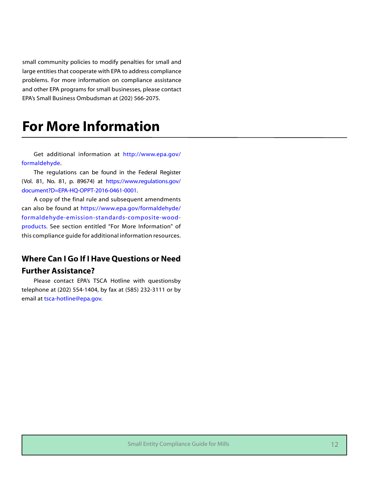small community policies to modify penalties for small and large entities that cooperate with EPA to address compliance problems. For more information on compliance assistance and other EPA programs for small businesses, please contact EPA's Small Business Ombudsman at (202) 566-2075.

# **For More Information**

Get additional information at [http://www.epa.gov/](http://www.epa.gov/formaldehyde) [formaldehyde](http://www.epa.gov/formaldehyde).

The regulations can be found in the Federal Register (Vol. 81, No. 81, p. 89674) at https://www.regulations.gov/ document?D=EPA-HQ-OPPT-2016-0461-0001.

A copy of the final rule and subsequent amendments can also be found at [https://www.epa.gov/formaldehyde/](https://www.epa.gov/formaldehyde/formaldehyde-emission-standards-composite-wood-products) [formaldehyde-emission-standards-composite-wood](https://www.epa.gov/formaldehyde/formaldehyde-emission-standards-composite-wood-products)[products](https://www.epa.gov/formaldehyde/formaldehyde-emission-standards-composite-wood-products). See section entitled "For More Information" of this compliance guide for additional information resources.

#### **Where Can I Go If I Have Questions or Need**

#### **Further Assistance?**

Please contact EPA's TSCA Hotline with questionsby telephone at (202) 554-1404, by fax at (585) 232-3111 or by email at [tsca-hotline@epa.gov.](mailto:tsca-hotline%40epa.gov?subject=Inquiry%20about%20EPA%27s%20TSCA%20Title%20VI%20Program)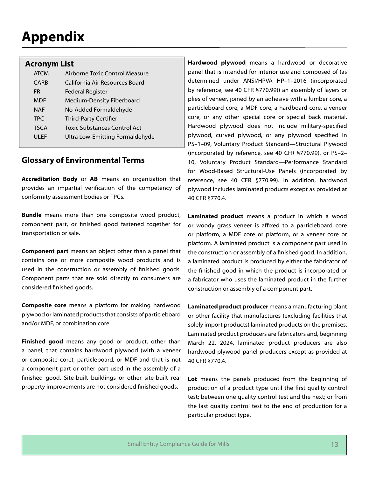# **Appendix**

#### **Acronym List**

| <b>ATCM</b> | Airborne Toxic Control Measure      |
|-------------|-------------------------------------|
| <b>CARB</b> | California Air Resources Board      |
| FR.         | <b>Federal Register</b>             |
| <b>MDF</b>  | Medium-Density Fiberboard           |
| <b>NAF</b>  | No-Added Formaldehyde               |
| <b>TPC</b>  | Third-Party Certifier               |
| <b>TSCA</b> | <b>Toxic Substances Control Act</b> |
| ULEF        | Ultra Low-Emitting Formaldehyde     |

#### **Glossary of Environmental Terms**

**Accreditation Body** or **AB** means an organization that provides an impartial verification of the competency of conformity assessment bodies or TPCs.

**Bundle** means more than one composite wood product, component part, or finished good fastened together for transportation or sale.

**Component part** means an object other than a panel that contains one or more composite wood products and is used in the construction or assembly of finished goods. Component parts that are sold directly to consumers are considered finished goods.

**Composite core** means a platform for making hardwood plywood or laminated products that consists of particleboard and/or MDF, or combination core.

**Finished good** means any good or product, other than a panel, that contains hardwood plywood (with a veneer or composite core), particleboard, or MDF and that is not a component part or other part used in the assembly of a finished good. Site-built buildings or other site-built real property improvements are not considered finished goods.

**Hardwood plywood** means a hardwood or decorative panel that is intended for interior use and composed of (as determined under ANSI/HPVA HP–1–2016 (incorporated by reference, see 40 CFR §770.99)) an assembly of layers or plies of veneer, joined by an adhesive with a lumber core, a particleboard core, a MDF core, a hardboard core, a veneer core, or any other special core or special back material. Hardwood plywood does not include military-specified plywood, curved plywood, or any plywood specified in PS–1–09, Voluntary Product Standard—Structural Plywood (incorporated by reference, see 40 CFR §770.99), or PS–2– 10, Voluntary Product Standard—Performance Standard for Wood-Based Structural-Use Panels (incorporated by reference, see 40 CFR §770.99). In addition, hardwood plywood includes laminated products except as provided at 40 CFR §770.4.

**Laminated product** means a product in which a wood or woody grass veneer is affixed to a particleboard core or platform, a MDF core or platform, or a veneer core or platform. A laminated product is a component part used in the construction or assembly of a finished good. In addition, a laminated product is produced by either the fabricator of the finished good in which the product is incorporated or a fabricator who uses the laminated product in the further construction or assembly of a component part.

**Laminated product producer** means a manufacturing plant or other facility that manufactures (excluding facilities that solely import products) laminated products on the premises. Laminated product producers are fabricators and, beginning March 22, 2024, laminated product producers are also hardwood plywood panel producers except as provided at 40 CFR §770.4.

**Lot** means the panels produced from the beginning of production of a product type until the first quality control test; between one quality control test and the next; or from the last quality control test to the end of production for a particular product type.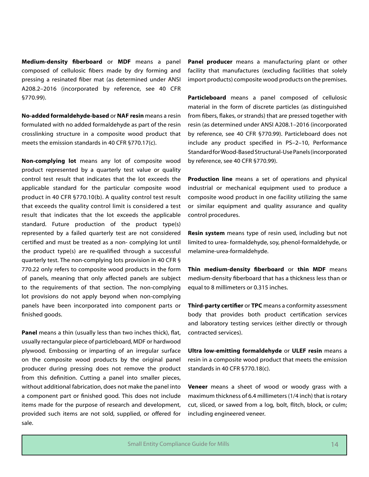**Medium-density fiberboard** or **MDF** means a panel composed of cellulosic fibers made by dry forming and pressing a resinated fiber mat (as determined under ANSI A208.2–2016 (incorporated by reference, see 40 CFR §770.99).

**No-added formaldehyde-based** or **NAF resin** means a resin formulated with no added formaldehyde as part of the resin crosslinking structure in a composite wood product that meets the emission standards in 40 CFR §770.17(c).

**Non-complying lot** means any lot of composite wood product represented by a quarterly test value or quality control test result that indicates that the lot exceeds the applicable standard for the particular composite wood product in 40 CFR §770.10(b). A quality control test result that exceeds the quality control limit is considered a test result that indicates that the lot exceeds the applicable standard. Future production of the product type(s) represented by a failed quarterly test are not considered certified and must be treated as a non- complying lot until the product type(s) are re-qualified through a successful quarterly test. The non-complying lots provision in 40 CFR § 770.22 only refers to composite wood products in the form of panels, meaning that only affected panels are subject to the requirements of that section. The non-complying lot provisions do not apply beyond when non-complying panels have been incorporated into component parts or finished goods.

**Panel** means a thin (usually less than two inches thick), flat, usually rectangular piece of particleboard, MDF or hardwood plywood. Embossing or imparting of an irregular surface on the composite wood products by the original panel producer during pressing does not remove the product from this definition. Cutting a panel into smaller pieces, without additional fabrication, does not make the panel into a component part or finished good. This does not include items made for the purpose of research and development, provided such items are not sold, supplied, or offered for sale.

**Panel producer** means a manufacturing plant or other facility that manufactures (excluding facilities that solely import products) composite wood products on the premises.

**Particleboard** means a panel composed of cellulosic material in the form of discrete particles (as distinguished from fibers, flakes, or strands) that are pressed together with resin (as determined under ANSI A208.1–2016 (incorporated by reference, see 40 CFR §770.99). Particleboard does not include any product specified in PS–2–10, Performance Standard for Wood-Based Structural-Use Panels (incorporated by reference, see 40 CFR §770.99).

**Production line** means a set of operations and physical industrial or mechanical equipment used to produce a composite wood product in one facility utilizing the same or similar equipment and quality assurance and quality control procedures.

**Resin system** means type of resin used, including but not limited to urea- formaldehyde, soy, phenol-formaldehyde, or melamine-urea-formaldehyde.

**Thin medium-density fiberboard** or **thin MDF** means medium-density fiberboard that has a thickness less than or equal to 8 millimeters or 0.315 inches.

**Third-party certifier** or **TPC** means a conformity assessment body that provides both product certification services and laboratory testing services (either directly or through contracted services).

**Ultra low-emitting formaldehyde** or **ULEF resin** means a resin in a composite wood product that meets the emission standards in 40 CFR §770.18(c).

**Veneer** means a sheet of wood or woody grass with a maximum thickness of 6.4 millimeters (1/4 inch) that is rotary cut, sliced, or sawed from a log, bolt, flitch, block, or culm; including engineered veneer.